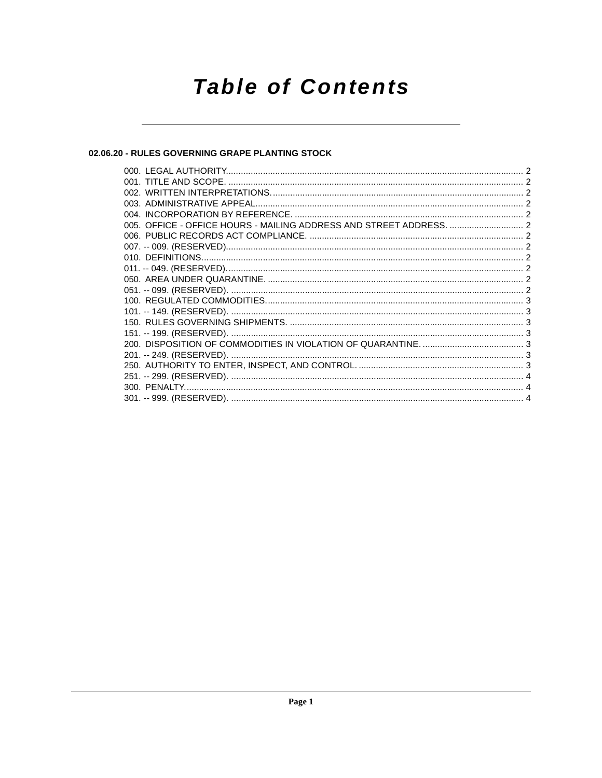# **Table of Contents**

## 02.06.20 - RULES GOVERNING GRAPE PLANTING STOCK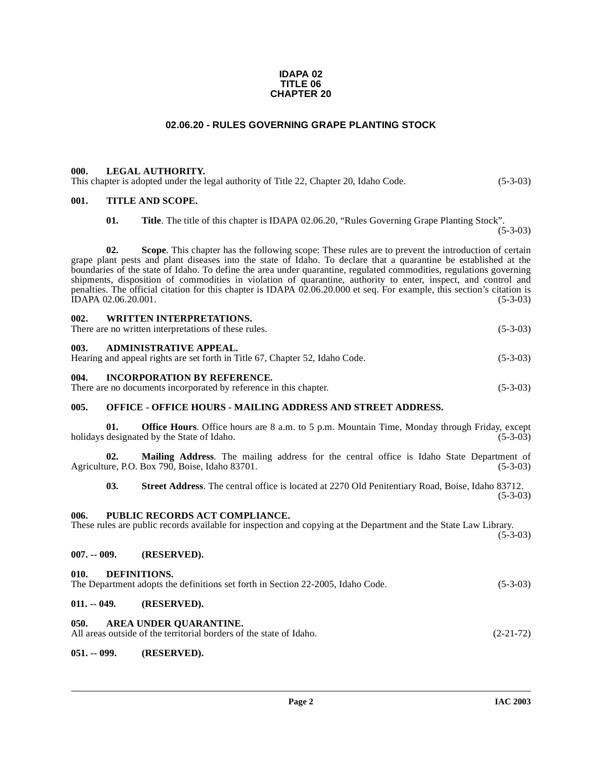#### **IDAPA 02 TITLE 06 CHAPTER 20**

### **02.06.20 - RULES GOVERNING GRAPE PLANTING STOCK**

#### <span id="page-1-1"></span><span id="page-1-0"></span>**000. LEGAL AUTHORITY.**

This chapter is adopted under the legal authority of Title 22, Chapter 20, Idaho Code. (5-3-03)

#### <span id="page-1-2"></span>**001. TITLE AND SCOPE.**

**01. Title**. The title of this chapter is IDAPA 02.06.20, "Rules Governing Grape Planting Stock".

(5-3-03)

**02. Scope**. This chapter has the following scope: These rules are to prevent the introduction of certain grape plant pests and plant diseases into the state of Idaho. To declare that a quarantine be established at the boundaries of the state of Idaho. To define the area under quarantine, regulated commodities, regulations governing shipments, disposition of commodities in violation of quarantine, authority to enter, inspect, and control and penalties. The official citation for this chapter is IDAPA 02.06.20.000 et seq. For example, this section's citation is  $\widehat{D}$ APA 02.06.20.001. (5-3-03)

<span id="page-1-3"></span>

| 002.  | <b>WRITTEN INTERPRETATIONS.</b>                      |            |
|-------|------------------------------------------------------|------------|
|       | There are no written interpretations of these rules. | $(5-3-03)$ |
| -003. | ADMINISTRATIVE APPEAL.                               |            |

<span id="page-1-4"></span>

| . |                                                                              |            |
|---|------------------------------------------------------------------------------|------------|
|   | Hearing and appeal rights are set forth in Title 67, Chapter 52, Idaho Code. | $(5-3-03)$ |

#### <span id="page-1-5"></span>**004. INCORPORATION BY REFERENCE.**

There are no documents incorporated by reference in this chapter. (5-3-03)

### <span id="page-1-6"></span>**005. OFFICE - OFFICE HOURS - MAILING ADDRESS AND STREET ADDRESS.**

**01. Office Hours**. Office hours are 8 a.m. to 5 p.m. Mountain Time, Monday through Friday, except designated by the State of Idaho. (5-3-03) holidays designated by the State of Idaho.

**02. Mailing Address**. The mailing address for the central office is Idaho State Department of Agriculture, P.O. Box 790, Boise, Idaho 83701. (5-3-03)

**03. Street Address**. The central office is located at 2270 Old Penitentiary Road, Boise, Idaho 83712. (5-3-03)

#### <span id="page-1-7"></span>**006. PUBLIC RECORDS ACT COMPLIANCE.**

These rules are public records available for inspection and copying at the Department and the State Law Library.  $(5-3-03)$ 

<span id="page-1-8"></span>**007. -- 009. (RESERVED).**

#### <span id="page-1-9"></span>**010. DEFINITIONS.**

<span id="page-1-10"></span>

| The Department adopts the definitions set forth in Section 22-2005, Idaho Code.<br>$(5-3-03)$ |             |  |  |
|-----------------------------------------------------------------------------------------------|-------------|--|--|
| $011. - 049.$                                                                                 | (RESERVED). |  |  |

#### <span id="page-1-13"></span><span id="page-1-11"></span>**050. AREA UNDER QUARANTINE.**

| All areas outside of the territorial borders of the state of Idaho. | $(2-21-72)$ |  |  |
|---------------------------------------------------------------------|-------------|--|--|

#### <span id="page-1-12"></span>**051. -- 099. (RESERVED).**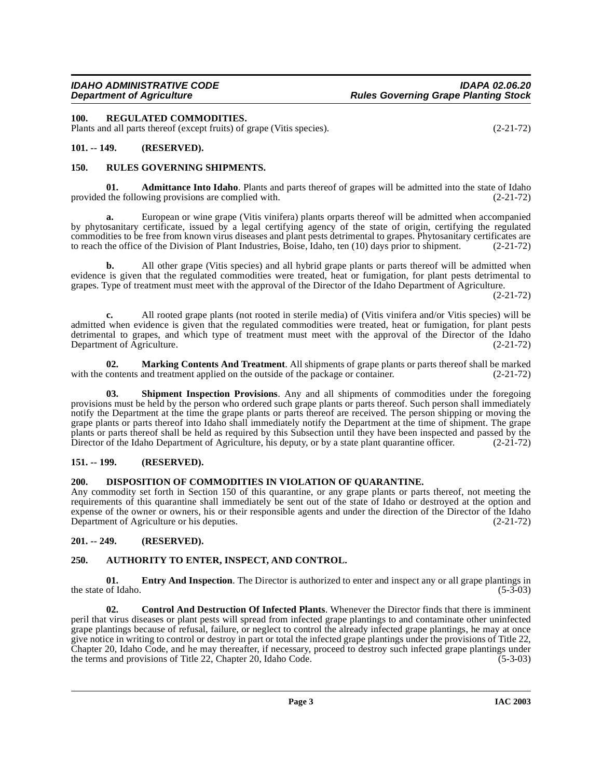<span id="page-2-13"></span><span id="page-2-0"></span>Plants and all parts thereof (except fruits) of grape (Vitis species). (2-21-72)

## <span id="page-2-1"></span>**101. -- 149. (RESERVED).**

## <span id="page-2-14"></span><span id="page-2-2"></span>**150. RULES GOVERNING SHIPMENTS.**

<span id="page-2-7"></span>**01. Admittance Into Idaho**. Plants and parts thereof of grapes will be admitted into the state of Idaho provided the following provisions are complied with. (2-21-72)

**a.** European or wine grape (Vitis vinifera) plants orparts thereof will be admitted when accompanied by phytosanitary certificate, issued by a legal certifying agency of the state of origin, certifying the regulated commodities to be free from known virus diseases and plant pests detrimental to grapes. Phytosanitary certificates are to reach the office of the Division of Plant Industries, Boise, Idaho, ten (10) days prior to shipment. (2-21-72)

**b.** All other grape (Vitis species) and all hybrid grape plants or parts thereof will be admitted when evidence is given that the regulated commodities were treated, heat or fumigation, for plant pests detrimental to grapes. Type of treatment must meet with the approval of the Director of the Idaho Department of Agriculture.

(2-21-72)

**c.** All rooted grape plants (not rooted in sterile media) of (Vitis vinifera and/or Vitis species) will be admitted when evidence is given that the regulated commodities were treated, heat or fumigation, for plant pests detrimental to grapes, and which type of treatment must meet with the approval of the Director of the Idaho Department of Agriculture. (2-21-72)

<span id="page-2-12"></span>**02. Marking Contents And Treatment**. All shipments of grape plants or parts thereof shall be marked contents and treatment applied on the outside of the package or container. (2-21-72) with the contents and treatment applied on the outside of the package or container.

<span id="page-2-15"></span>**Shipment Inspection Provisions**. Any and all shipments of commodities under the foregoing provisions must be held by the person who ordered such grape plants or parts thereof. Such person shall immediately notify the Department at the time the grape plants or parts thereof are received. The person shipping or moving the grape plants or parts thereof into Idaho shall immediately notify the Department at the time of shipment. The grape plants or parts thereof shall be held as required by this Subsection until they have been inspected and passed by the Director of the Idaho Department of Agriculture, his deputy, or by a state plant quarantine officer. (2-21-72)

# <span id="page-2-3"></span>**151. -- 199. (RESERVED).**

### <span id="page-2-10"></span><span id="page-2-4"></span>**200. DISPOSITION OF COMMODITIES IN VIOLATION OF QUARANTINE.**

Any commodity set forth in Section 150 of this quarantine, or any grape plants or parts thereof, not meeting the requirements of this quarantine shall immediately be sent out of the state of Idaho or destroyed at the option and expense of the owner or owners, his or their responsible agents and under the direction of the Director of the Idaho Department of Agriculture or his deputies. (2-21-72)

# <span id="page-2-5"></span>**201. -- 249. (RESERVED).**

### <span id="page-2-8"></span><span id="page-2-6"></span>**250. AUTHORITY TO ENTER, INSPECT, AND CONTROL.**

<span id="page-2-11"></span>**01.** Entry And Inspection. The Director is authorized to enter and inspect any or all grape plantings in the state of Idaho.  $(5-3-03)$ 

<span id="page-2-9"></span>**02. Control And Destruction Of Infected Plants**. Whenever the Director finds that there is imminent peril that virus diseases or plant pests will spread from infected grape plantings to and contaminate other uninfected grape plantings because of refusal, failure, or neglect to control the already infected grape plantings, he may at once give notice in writing to control or destroy in part or total the infected grape plantings under the provisions of Title 22, Chapter 20, Idaho Code, and he may thereafter, if necessary, proceed to destroy such infected grape plantings under the terms and provisions of Title 22, Chapter 20, Idaho Code.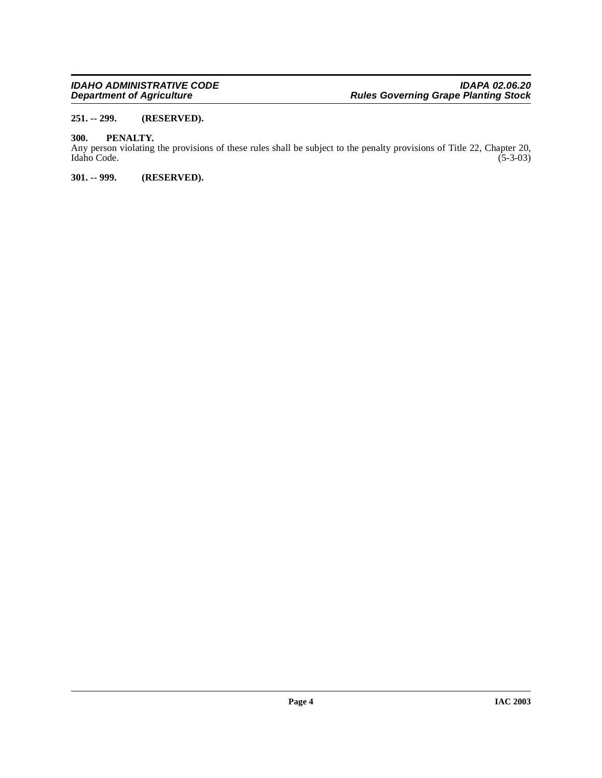### <span id="page-3-0"></span>**251. -- 299. (RESERVED).**

## <span id="page-3-3"></span><span id="page-3-1"></span>**300. PENALTY.**

Any person violating the provisions of these rules shall be subject to the penalty provisions of Title 22, Chapter 20, Idaho Code. (5-3-03) Idaho Code.

## <span id="page-3-2"></span>**301. -- 999. (RESERVED).**